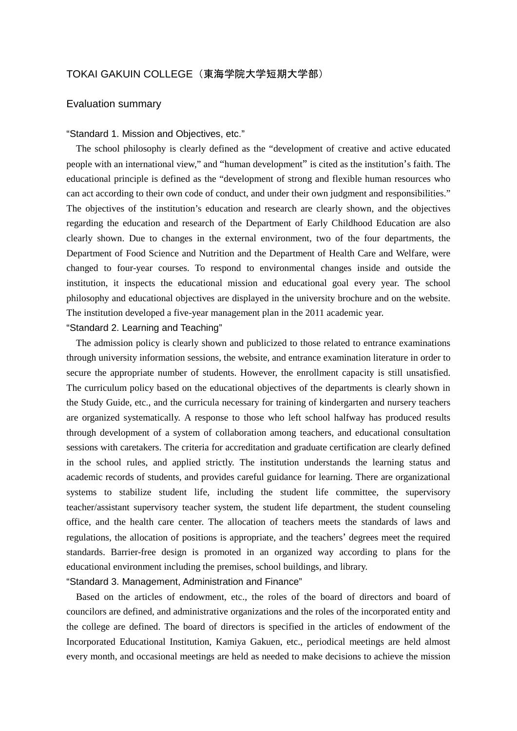# TOKAI GAKUIN COLLEGE(東海学院大学短期大学部)

## Evaluation summary

#### "Standard 1. Mission and Objectives, etc."

The school philosophy is clearly defined as the "development of creative and active educated people with an international view," and "human development" is cited as the institution's faith. The educational principle is defined as the "development of strong and flexible human resources who can act according to their own code of conduct, and under their own judgment and responsibilities." The objectives of the institution's education and research are clearly shown, and the objectives regarding the education and research of the Department of Early Childhood Education are also clearly shown. Due to changes in the external environment, two of the four departments, the Department of Food Science and Nutrition and the Department of Health Care and Welfare, were changed to four-year courses. To respond to environmental changes inside and outside the institution, it inspects the educational mission and educational goal every year. The school philosophy and educational objectives are displayed in the university brochure and on the website. The institution developed a five-year management plan in the 2011 academic year.

## "Standard 2. Learning and Teaching"

The admission policy is clearly shown and publicized to those related to entrance examinations through university information sessions, the website, and entrance examination literature in order to secure the appropriate number of students. However, the enrollment capacity is still unsatisfied. The curriculum policy based on the educational objectives of the departments is clearly shown in the Study Guide, etc., and the curricula necessary for training of kindergarten and nursery teachers are organized systematically. A response to those who left school halfway has produced results through development of a system of collaboration among teachers, and educational consultation sessions with caretakers. The criteria for accreditation and graduate certification are clearly defined in the school rules, and applied strictly. The institution understands the learning status and academic records of students, and provides careful guidance for learning. There are organizational systems to stabilize student life, including the student life committee, the supervisory teacher/assistant supervisory teacher system, the student life department, the student counseling office, and the health care center. The allocation of teachers meets the standards of laws and regulations, the allocation of positions is appropriate, and the teachers' degrees meet the required standards. Barrier-free design is promoted in an organized way according to plans for the educational environment including the premises, school buildings, and library.

#### "Standard 3. Management, Administration and Finance"

Based on the articles of endowment, etc., the roles of the board of directors and board of councilors are defined, and administrative organizations and the roles of the incorporated entity and the college are defined. The board of directors is specified in the articles of endowment of the Incorporated Educational Institution, Kamiya Gakuen, etc., periodical meetings are held almost every month, and occasional meetings are held as needed to make decisions to achieve the mission